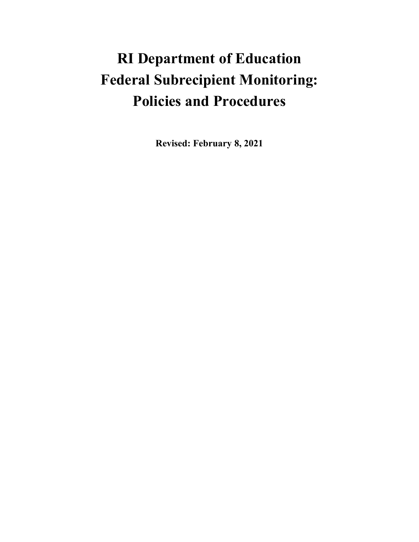# **RI Department of Education Federal Subrecipient Monitoring: Policies and Procedures**

**Revised: February 8, 2021**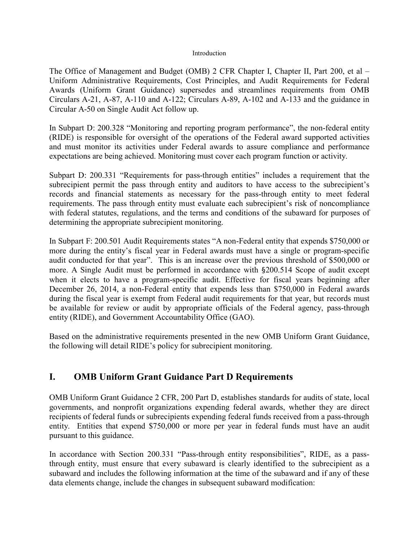#### Introduction

The Office of Management and Budget (OMB) 2 CFR Chapter I, Chapter II, Part 200, et al – Uniform Administrative Requirements, Cost Principles, and Audit Requirements for Federal Awards (Uniform Grant Guidance) supersedes and streamlines requirements from OMB Circulars A-21, A-87, A-110 and A-122; Circulars A-89, A-102 and A-133 and the guidance in Circular A-50 on Single Audit Act follow up.

In Subpart D: 200.328 "Monitoring and reporting program performance", the non-federal entity (RIDE) is responsible for oversight of the operations of the Federal award supported activities and must monitor its activities under Federal awards to assure compliance and performance expectations are being achieved. Monitoring must cover each program function or activity.

Subpart D: 200.331 "Requirements for pass-through entities" includes a requirement that the subrecipient permit the pass through entity and auditors to have access to the subrecipient's records and financial statements as necessary for the pass-through entity to meet federal requirements. The pass through entity must evaluate each subrecipient's risk of noncompliance with federal statutes, regulations, and the terms and conditions of the subaward for purposes of determining the appropriate subrecipient monitoring.

In Subpart F: 200.501 Audit Requirements states "A non-Federal entity that expends \$750,000 or more during the entity's fiscal year in Federal awards must have a single or program-specific audit conducted for that year". This is an increase over the previous threshold of \$500,000 or more. A Single Audit must be performed in accordance with §200.514 Scope of audit except when it elects to have a program-specific audit. Effective for fiscal years beginning after December 26, 2014, a non-Federal entity that expends less than \$750,000 in Federal awards during the fiscal year is exempt from Federal audit requirements for that year, but records must be available for review or audit by appropriate officials of the Federal agency, pass-through entity (RIDE), and Government Accountability Office (GAO).

Based on the administrative requirements presented in the new OMB Uniform Grant Guidance, the following will detail RIDE's policy for subrecipient monitoring.

# **I. OMB Uniform Grant Guidance Part D Requirements**

OMB Uniform Grant Guidance 2 CFR, 200 Part D, establishes standards for audits of state, local governments, and nonprofit organizations expending federal awards, whether they are direct recipients of federal funds or subrecipients expending federal funds received from a pass-through entity. Entities that expend \$750,000 or more per year in federal funds must have an audit pursuant to this guidance.

In accordance with Section 200.331 "Pass-through entity responsibilities", RIDE, as a passthrough entity, must ensure that every subaward is clearly identified to the subrecipient as a subaward and includes the following information at the time of the subaward and if any of these data elements change, include the changes in subsequent subaward modification: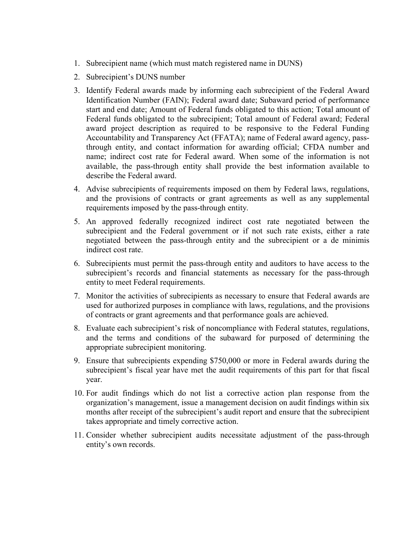- 1. Subrecipient name (which must match registered name in DUNS)
- 2. Subrecipient's DUNS number
- 3. Identify Federal awards made by informing each subrecipient of the Federal Award Identification Number (FAIN); Federal award date; Subaward period of performance start and end date; Amount of Federal funds obligated to this action; Total amount of Federal funds obligated to the subrecipient; Total amount of Federal award; Federal award project description as required to be responsive to the Federal Funding Accountability and Transparency Act (FFATA); name of Federal award agency, passthrough entity, and contact information for awarding official; CFDA number and name; indirect cost rate for Federal award. When some of the information is not available, the pass-through entity shall provide the best information available to describe the Federal award.
- 4. Advise subrecipients of requirements imposed on them by Federal laws, regulations, and the provisions of contracts or grant agreements as well as any supplemental requirements imposed by the pass-through entity.
- 5. An approved federally recognized indirect cost rate negotiated between the subrecipient and the Federal government or if not such rate exists, either a rate negotiated between the pass-through entity and the subrecipient or a de minimis indirect cost rate.
- 6. Subrecipients must permit the pass-through entity and auditors to have access to the subrecipient's records and financial statements as necessary for the pass-through entity to meet Federal requirements.
- 7. Monitor the activities of subrecipients as necessary to ensure that Federal awards are used for authorized purposes in compliance with laws, regulations, and the provisions of contracts or grant agreements and that performance goals are achieved.
- 8. Evaluate each subrecipient's risk of noncompliance with Federal statutes, regulations, and the terms and conditions of the subaward for purposed of determining the appropriate subrecipient monitoring.
- 9. Ensure that subrecipients expending \$750,000 or more in Federal awards during the subrecipient's fiscal year have met the audit requirements of this part for that fiscal year.
- 10. For audit findings which do not list a corrective action plan response from the organization's management, issue a management decision on audit findings within six months after receipt of the subrecipient's audit report and ensure that the subrecipient takes appropriate and timely corrective action.
- 11. Consider whether subrecipient audits necessitate adjustment of the pass-through entity's own records.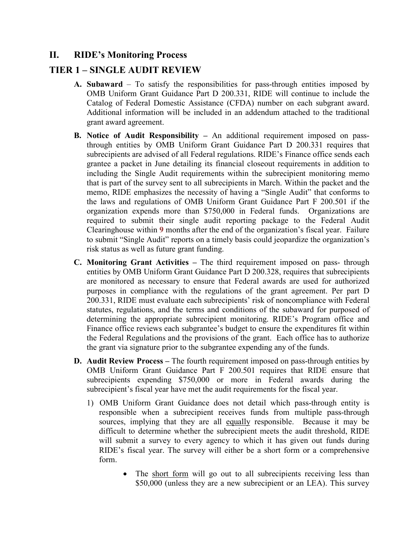# **II. RIDE's Monitoring Process**

## **TIER 1 – SINGLE AUDIT REVIEW**

- **A. Subaward**  To satisfy the responsibilities for pass-through entities imposed by OMB Uniform Grant Guidance Part D 200.331, RIDE will continue to include the Catalog of Federal Domestic Assistance (CFDA) number on each subgrant award. Additional information will be included in an addendum attached to the traditional grant award agreement.
- **B. Notice of Audit Responsibility –** An additional requirement imposed on passthrough entities by OMB Uniform Grant Guidance Part D 200.331 requires that subrecipients are advised of all Federal regulations. RIDE's Finance office sends each grantee a packet in June detailing its financial closeout requirements in addition to including the Single Audit requirements within the subrecipient monitoring memo that is part of the survey sent to all subrecipients in March. Within the packet and the memo, RIDE emphasizes the necessity of having a "Single Audit" that conforms to the laws and regulations of OMB Uniform Grant Guidance Part F 200.501 if the organization expends more than \$750,000 in Federal funds. Organizations are required to submit their single audit reporting package to the Federal Audit Clearinghouse within **9** months after the end of the organization's fiscal year. Failure to submit "Single Audit" reports on a timely basis could jeopardize the organization's risk status as well as future grant funding.
- **C. Monitoring Grant Activities –** The third requirement imposed on pass- through entities by OMB Uniform Grant Guidance Part D 200.328, requires that subrecipients are monitored as necessary to ensure that Federal awards are used for authorized purposes in compliance with the regulations of the grant agreement. Per part D 200.331, RIDE must evaluate each subrecipients' risk of noncompliance with Federal statutes, regulations, and the terms and conditions of the subaward for purposed of determining the appropriate subrecipient monitoring. RIDE's Program office and Finance office reviews each subgrantee's budget to ensure the expenditures fit within the Federal Regulations and the provisions of the grant. Each office has to authorize the grant via signature prior to the subgrantee expending any of the funds.
- **D. Audit Review Process –** The fourth requirement imposed on pass-through entities by OMB Uniform Grant Guidance Part F 200.501 requires that RIDE ensure that subrecipients expending \$750,000 or more in Federal awards during the subrecipient's fiscal year have met the audit requirements for the fiscal year.
	- 1) OMB Uniform Grant Guidance does not detail which pass-through entity is responsible when a subrecipient receives funds from multiple pass-through sources, implying that they are all equally responsible. Because it may be difficult to determine whether the subrecipient meets the audit threshold, RIDE will submit a survey to every agency to which it has given out funds during RIDE's fiscal year. The survey will either be a short form or a comprehensive form.
		- The short form will go out to all subrecipients receiving less than \$50,000 (unless they are a new subrecipient or an LEA). This survey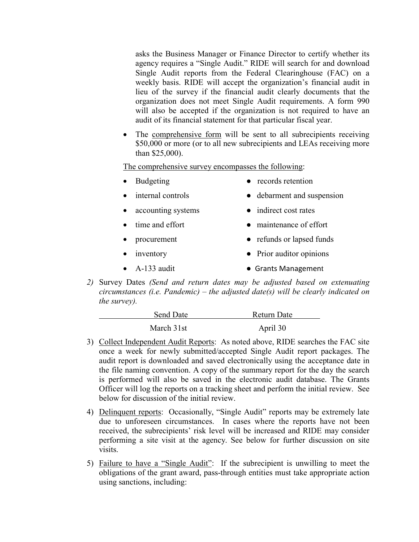asks the Business Manager or Finance Director to certify whether its agency requires a "Single Audit." RIDE will search for and download Single Audit reports from the Federal Clearinghouse (FAC) on a weekly basis. RIDE will accept the organization's financial audit in lieu of the survey if the financial audit clearly documents that the organization does not meet Single Audit requirements. A form 990 will also be accepted if the organization is not required to have an audit of its financial statement for that particular fiscal year.

• The comprehensive form will be sent to all subrecipients receiving \$50,000 or more (or to all new subrecipients and LEAs receiving more than \$25,000).

The comprehensive survey encompasses the following:

- Budgeting records retention
- internal controls debarment and suspension
	- accounting systems <br>
	indirect cost rates
		- time and effort <br>
		maintenance of effort
- procurement <br>
refunds or lapsed funds
- inventory Prior auditor opinions
- A-133 audit  **Grants Management**
- *2)* Survey Dates *(Send and return dates may be adjusted based on extenuating circumstances (i.e. Pandemic) – the adjusted date(s) will be clearly indicated on the survey).*

| Send Date  | Return Date |
|------------|-------------|
| March 31st | April 30    |

- 3) Collect Independent Audit Reports: As noted above, RIDE searches the FAC site once a week for newly submitted/accepted Single Audit report packages. The audit report is downloaded and saved electronically using the acceptance date in the file naming convention. A copy of the summary report for the day the search is performed will also be saved in the electronic audit database. The Grants Officer will log the reports on a tracking sheet and perform the initial review. See below for discussion of the initial review.
- 4) Delinquent reports: Occasionally, "Single Audit" reports may be extremely late due to unforeseen circumstances. In cases where the reports have not been received, the subrecipients' risk level will be increased and RIDE may consider performing a site visit at the agency. See below for further discussion on site visits.
- 5) Failure to have a "Single Audit": If the subrecipient is unwilling to meet the obligations of the grant award, pass-through entities must take appropriate action using sanctions, including: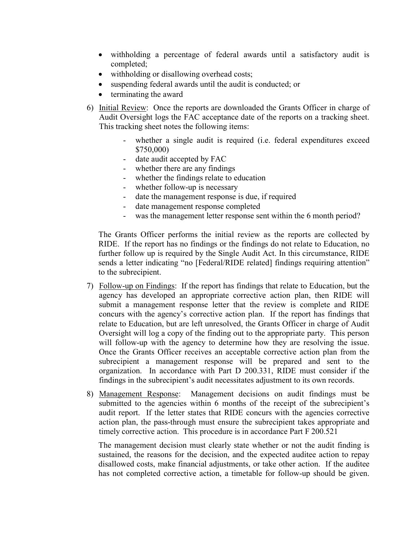- withholding a percentage of federal awards until a satisfactory audit is completed;
- withholding or disallowing overhead costs;
- suspending federal awards until the audit is conducted; or
- terminating the award
- 6) Initial Review: Once the reports are downloaded the Grants Officer in charge of Audit Oversight logs the FAC acceptance date of the reports on a tracking sheet. This tracking sheet notes the following items:
	- whether a single audit is required (i.e. federal expenditures exceed \$750,000)
	- date audit accepted by FAC
	- whether there are any findings
	- whether the findings relate to education
	- whether follow-up is necessary
	- date the management response is due, if required
	- date management response completed
	- was the management letter response sent within the 6 month period?

The Grants Officer performs the initial review as the reports are collected by RIDE. If the report has no findings or the findings do not relate to Education, no further follow up is required by the Single Audit Act. In this circumstance, RIDE sends a letter indicating "no [Federal/RIDE related] findings requiring attention" to the subrecipient.

- 7) Follow-up on Findings: If the report has findings that relate to Education, but the agency has developed an appropriate corrective action plan, then RIDE will submit a management response letter that the review is complete and RIDE concurs with the agency's corrective action plan. If the report has findings that relate to Education, but are left unresolved, the Grants Officer in charge of Audit Oversight will log a copy of the finding out to the appropriate party. This person will follow-up with the agency to determine how they are resolving the issue. Once the Grants Officer receives an acceptable corrective action plan from the subrecipient a management response will be prepared and sent to the organization. In accordance with Part D 200.331, RIDE must consider if the findings in the subrecipient's audit necessitates adjustment to its own records.
- 8) Management Response: Management decisions on audit findings must be submitted to the agencies within 6 months of the receipt of the subrecipient's audit report. If the letter states that RIDE concurs with the agencies corrective action plan, the pass-through must ensure the subrecipient takes appropriate and timely corrective action. This procedure is in accordance Part F 200.521

The management decision must clearly state whether or not the audit finding is sustained, the reasons for the decision, and the expected auditee action to repay disallowed costs, make financial adjustments, or take other action. If the auditee has not completed corrective action, a timetable for follow-up should be given.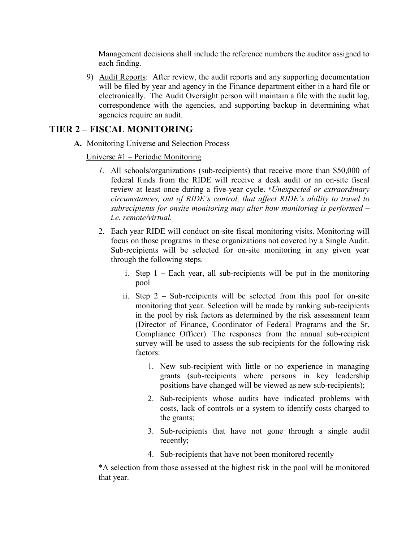Management decisions shall include the reference numbers the auditor assigned to each finding.

9) Audit Reports: After review, the audit reports and any supporting documentation will be filed by year and agency in the Finance department either in a hard file or electronically. The Audit Oversight person will maintain a file with the audit log, correspondence with the agencies, and supporting backup in determining what agencies require an audit.

# **TIER 2 – FISCAL MONITORING**

**A.** Monitoring Universe and Selection Process

Universe #1 – Periodic Monitoring

- *1.* All schools/organizations (sub-recipients) that receive more than \$50,000 of federal funds from the RIDE will receive a desk audit or an on-site fiscal review at least once during a five-year cycle. \**Unexpected or extraordinary circumstances, out of RIDE's control, that affect RIDE's ability to travel to subrecipients for onsite monitoring may alter how monitoring is performed – i.e. remote/virtual.*
- 2. Each year RIDE will conduct on-site fiscal monitoring visits. Monitoring will focus on those programs in these organizations not covered by a Single Audit. Sub-recipients will be selected for on-site monitoring in any given year through the following steps.
	- i. Step  $1$  Each year, all sub-recipients will be put in the monitoring pool
	- ii. Step 2 Sub-recipients will be selected from this pool for on-site monitoring that year. Selection will be made by ranking sub-recipients in the pool by risk factors as determined by the risk assessment team (Director of Finance, Coordinator of Federal Programs and the Sr. Compliance Officer). The responses from the annual sub-recipient survey will be used to assess the sub-recipients for the following risk factors:
		- 1. New sub-recipient with little or no experience in managing grants (sub-recipients where persons in key leadership positions have changed will be viewed as new sub-recipients);
		- 2. Sub-recipients whose audits have indicated problems with costs, lack of controls or a system to identify costs charged to the grants;
		- 3. Sub-recipients that have not gone through a single audit recently;
		- 4. Sub-recipients that have not been monitored recently

\*A selection from those assessed at the highest risk in the pool will be monitored that year.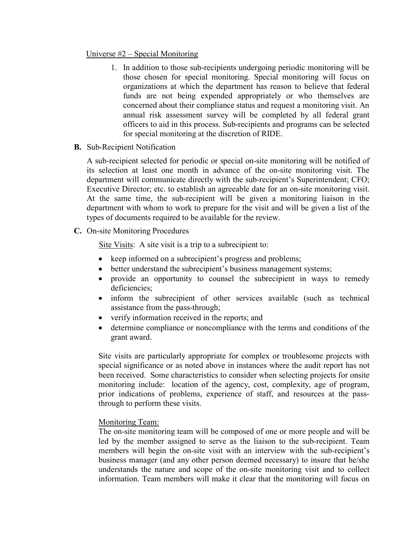#### Universe  $#2$  – Special Monitoring

- 1. In addition to those sub-recipients undergoing periodic monitoring will be those chosen for special monitoring. Special monitoring will focus on organizations at which the department has reason to believe that federal funds are not being expended appropriately or who themselves are concerned about their compliance status and request a monitoring visit. An annual risk assessment survey will be completed by all federal grant officers to aid in this process. Sub-recipients and programs can be selected for special monitoring at the discretion of RIDE.
- **B.** Sub-Recipient Notification

A sub-recipient selected for periodic or special on-site monitoring will be notified of its selection at least one month in advance of the on-site monitoring visit. The department will communicate directly with the sub-recipient's Superintendent; CFO; Executive Director; etc. to establish an agreeable date for an on-site monitoring visit. At the same time, the sub-recipient will be given a monitoring liaison in the department with whom to work to prepare for the visit and will be given a list of the types of documents required to be available for the review.

**C.** On-site Monitoring Procedures

Site Visits: A site visit is a trip to a subrecipient to:

- keep informed on a subrecipient's progress and problems;
- better understand the subrecipient's business management systems;
- provide an opportunity to counsel the subrecipient in ways to remedy deficiencies;
- inform the subrecipient of other services available (such as technical assistance from the pass-through;
- verify information received in the reports; and
- determine compliance or noncompliance with the terms and conditions of the grant award.

Site visits are particularly appropriate for complex or troublesome projects with special significance or as noted above in instances where the audit report has not been received. Some characteristics to consider when selecting projects for onsite monitoring include: location of the agency, cost, complexity, age of program, prior indications of problems, experience of staff, and resources at the passthrough to perform these visits.

### Monitoring Team:

The on-site monitoring team will be composed of one or more people and will be led by the member assigned to serve as the liaison to the sub-recipient. Team members will begin the on-site visit with an interview with the sub-recipient's business manager (and any other person deemed necessary) to insure that he/she understands the nature and scope of the on-site monitoring visit and to collect information. Team members will make it clear that the monitoring will focus on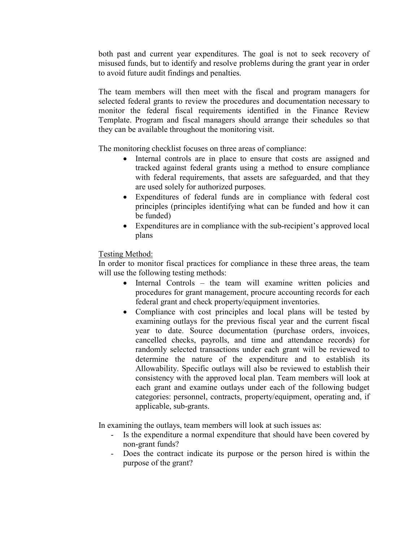both past and current year expenditures. The goal is not to seek recovery of misused funds, but to identify and resolve problems during the grant year in order to avoid future audit findings and penalties.

The team members will then meet with the fiscal and program managers for selected federal grants to review the procedures and documentation necessary to monitor the federal fiscal requirements identified in the Finance Review Template. Program and fiscal managers should arrange their schedules so that they can be available throughout the monitoring visit.

The monitoring checklist focuses on three areas of compliance:

- Internal controls are in place to ensure that costs are assigned and tracked against federal grants using a method to ensure compliance with federal requirements, that assets are safeguarded, and that they are used solely for authorized purposes.
- Expenditures of federal funds are in compliance with federal cost principles (principles identifying what can be funded and how it can be funded)
- Expenditures are in compliance with the sub-recipient's approved local plans

### Testing Method:

In order to monitor fiscal practices for compliance in these three areas, the team will use the following testing methods:

- Internal Controls the team will examine written policies and procedures for grant management, procure accounting records for each federal grant and check property/equipment inventories.
- Compliance with cost principles and local plans will be tested by examining outlays for the previous fiscal year and the current fiscal year to date. Source documentation (purchase orders, invoices, cancelled checks, payrolls, and time and attendance records) for randomly selected transactions under each grant will be reviewed to determine the nature of the expenditure and to establish its Allowability. Specific outlays will also be reviewed to establish their consistency with the approved local plan. Team members will look at each grant and examine outlays under each of the following budget categories: personnel, contracts, property/equipment, operating and, if applicable, sub-grants.

In examining the outlays, team members will look at such issues as:

- Is the expenditure a normal expenditure that should have been covered by non-grant funds?
- Does the contract indicate its purpose or the person hired is within the purpose of the grant?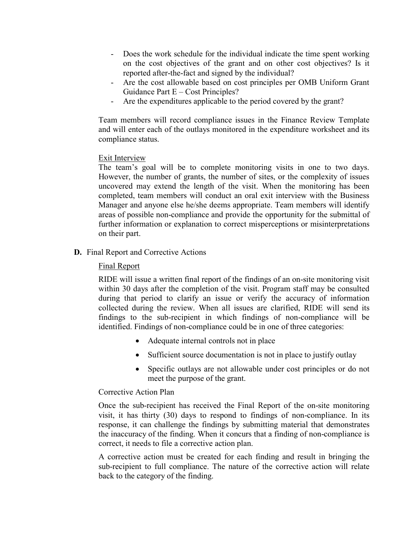- Does the work schedule for the individual indicate the time spent working on the cost objectives of the grant and on other cost objectives? Is it reported after-the-fact and signed by the individual?
- Are the cost allowable based on cost principles per OMB Uniform Grant Guidance Part E – Cost Principles?
- Are the expenditures applicable to the period covered by the grant?

Team members will record compliance issues in the Finance Review Template and will enter each of the outlays monitored in the expenditure worksheet and its compliance status.

#### Exit Interview

The team's goal will be to complete monitoring visits in one to two days. However, the number of grants, the number of sites, or the complexity of issues uncovered may extend the length of the visit. When the monitoring has been completed, team members will conduct an oral exit interview with the Business Manager and anyone else he/she deems appropriate. Team members will identify areas of possible non-compliance and provide the opportunity for the submittal of further information or explanation to correct misperceptions or misinterpretations on their part.

#### **D.** Final Report and Corrective Actions

#### Final Report

RIDE will issue a written final report of the findings of an on-site monitoring visit within 30 days after the completion of the visit. Program staff may be consulted during that period to clarify an issue or verify the accuracy of information collected during the review. When all issues are clarified, RIDE will send its findings to the sub-recipient in which findings of non-compliance will be identified. Findings of non-compliance could be in one of three categories:

- Adequate internal controls not in place
- Sufficient source documentation is not in place to justify outlay
- Specific outlays are not allowable under cost principles or do not meet the purpose of the grant.

#### Corrective Action Plan

Once the sub-recipient has received the Final Report of the on-site monitoring visit, it has thirty (30) days to respond to findings of non-compliance. In its response, it can challenge the findings by submitting material that demonstrates the inaccuracy of the finding. When it concurs that a finding of non-compliance is correct, it needs to file a corrective action plan.

A corrective action must be created for each finding and result in bringing the sub-recipient to full compliance. The nature of the corrective action will relate back to the category of the finding.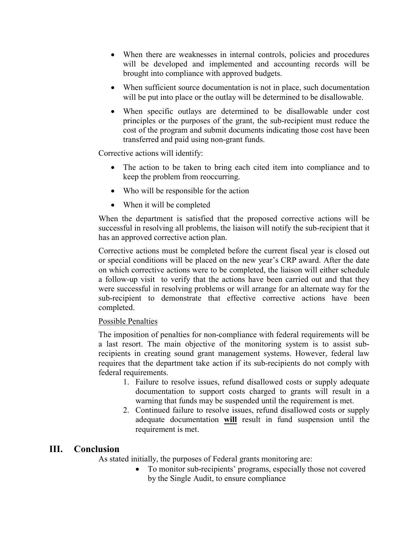- When there are weaknesses in internal controls, policies and procedures will be developed and implemented and accounting records will be brought into compliance with approved budgets.
- When sufficient source documentation is not in place, such documentation will be put into place or the outlay will be determined to be disallowable.
- When specific outlays are determined to be disallowable under cost principles or the purposes of the grant, the sub-recipient must reduce the cost of the program and submit documents indicating those cost have been transferred and paid using non-grant funds.

Corrective actions will identify:

- The action to be taken to bring each cited item into compliance and to keep the problem from reoccurring.
- Who will be responsible for the action
- When it will be completed

When the department is satisfied that the proposed corrective actions will be successful in resolving all problems, the liaison will notify the sub-recipient that it has an approved corrective action plan.

Corrective actions must be completed before the current fiscal year is closed out or special conditions will be placed on the new year's CRP award. After the date on which corrective actions were to be completed, the liaison will either schedule a follow-up visit to verify that the actions have been carried out and that they were successful in resolving problems or will arrange for an alternate way for the sub-recipient to demonstrate that effective corrective actions have been completed.

### Possible Penalties

The imposition of penalties for non-compliance with federal requirements will be a last resort. The main objective of the monitoring system is to assist subrecipients in creating sound grant management systems. However, federal law requires that the department take action if its sub-recipients do not comply with federal requirements.

- 1. Failure to resolve issues, refund disallowed costs or supply adequate documentation to support costs charged to grants will result in a warning that funds may be suspended until the requirement is met.
- 2. Continued failure to resolve issues, refund disallowed costs or supply adequate documentation **will** result in fund suspension until the requirement is met.

# **III. Conclusion**

As stated initially, the purposes of Federal grants monitoring are:

• To monitor sub-recipients' programs, especially those not covered by the Single Audit, to ensure compliance